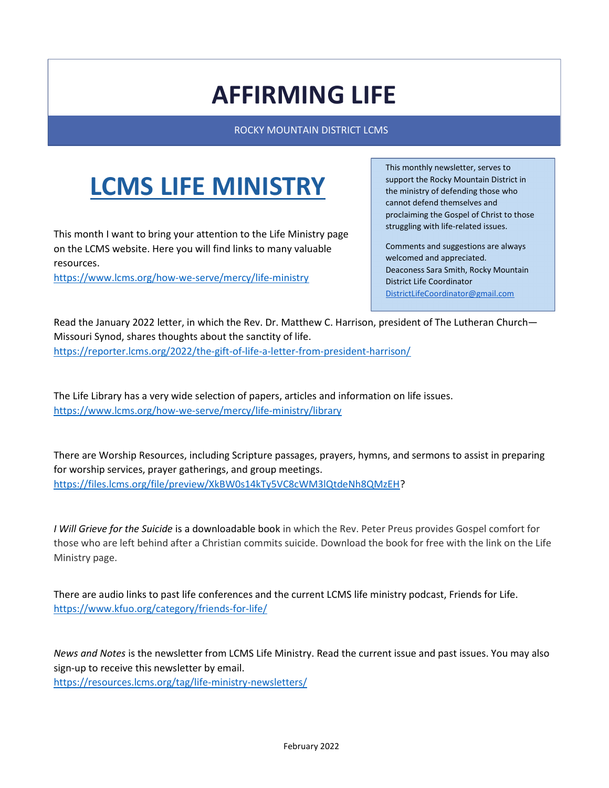## AFFIRMING LIFE

ROCKY MOUNTAIN DISTRICT LCMS

# LCMS LIFE MINISTRY

This month I want to bring your attention to the Life Ministry page on the LCMS website. Here you will find links to many valuable resources.

https://www.lcms.org/how-we-serve/mercy/life-ministry

This monthly newsletter, serves to support the Rocky Mountain District in the ministry of defending those who cannot defend themselves and proclaiming the Gospel of Christ to those struggling with life-related issues.

Comments and suggestions are always welcomed and appreciated. Deaconess Sara Smith, Rocky Mountain District Life Coordinator DistrictLifeCoordinator@gmail.com

Read the January 2022 letter, in which the Rev. Dr. Matthew C. Harrison, president of The Lutheran Church— Missouri Synod, shares thoughts about the sanctity of life. https://reporter.lcms.org/2022/the-gift-of-life-a-letter-from-president-harrison/

The Life Library has a very wide selection of papers, articles and information on life issues. https://www.lcms.org/how-we-serve/mercy/life-ministry/library

There are Worship Resources, including Scripture passages, prayers, hymns, and sermons to assist in preparing for worship services, prayer gatherings, and group meetings. https://files.lcms.org/file/preview/XkBW0s14kTy5VC8cWM3lQtdeNh8QMzEH?

I Will Grieve for the Suicide is a downloadable book in which the Rev. Peter Preus provides Gospel comfort for those who are left behind after a Christian commits suicide. Download the book for free with the link on the Life Ministry page.

There are audio links to past life conferences and the current LCMS life ministry podcast, Friends for Life. https://www.kfuo.org/category/friends-for-life/

News and Notes is the newsletter from LCMS Life Ministry. Read the current issue and past issues. You may also sign-up to receive this newsletter by email.

https://resources.lcms.org/tag/life-ministry-newsletters/